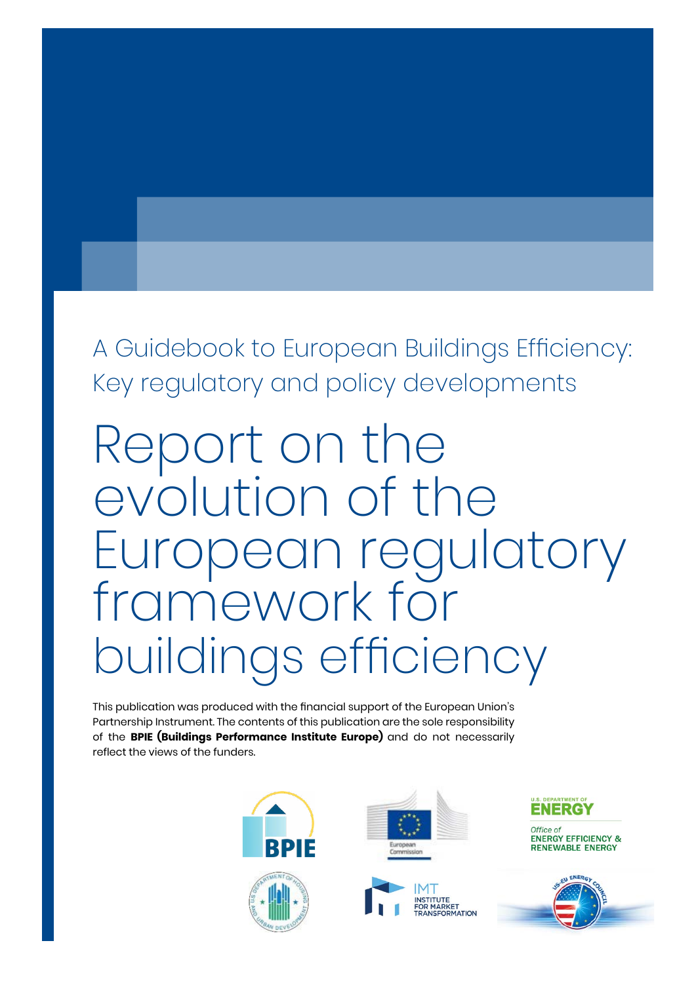A Guidebook to European Buildings Efficiency: Key regulatory and policy developments

# Report on the evolution of the European regulatory framework for buildings efficiency

This publication was produced with the financial support of the European Union's Partnership Instrument. The contents of this publication are the sole responsibility of the **BPIE (Buildings Performance Institute Europe)** and do not necessarily reflect the views of the funders.









Office of **ENERGY EFFICIENCY & RENEWABLE ENERGY** 

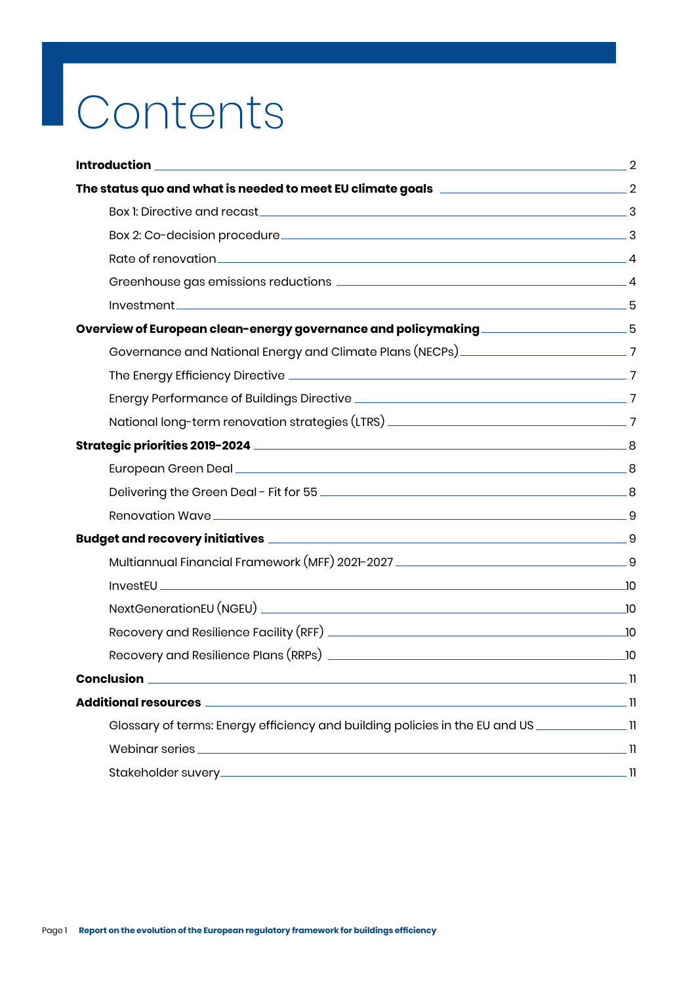# **Contents**

| Overview of European clean-energy governance and policymaking ____________________5                           |             |
|---------------------------------------------------------------------------------------------------------------|-------------|
|                                                                                                               |             |
|                                                                                                               |             |
|                                                                                                               |             |
|                                                                                                               |             |
|                                                                                                               |             |
|                                                                                                               |             |
|                                                                                                               |             |
|                                                                                                               |             |
|                                                                                                               |             |
|                                                                                                               |             |
|                                                                                                               |             |
|                                                                                                               |             |
|                                                                                                               |             |
|                                                                                                               |             |
| <b>Conclusion</b>                                                                                             | $\equiv$ 11 |
|                                                                                                               |             |
| Glossary of terms: Energy efficiency and building policies in the EU and US _________________________________ |             |
|                                                                                                               |             |
|                                                                                                               |             |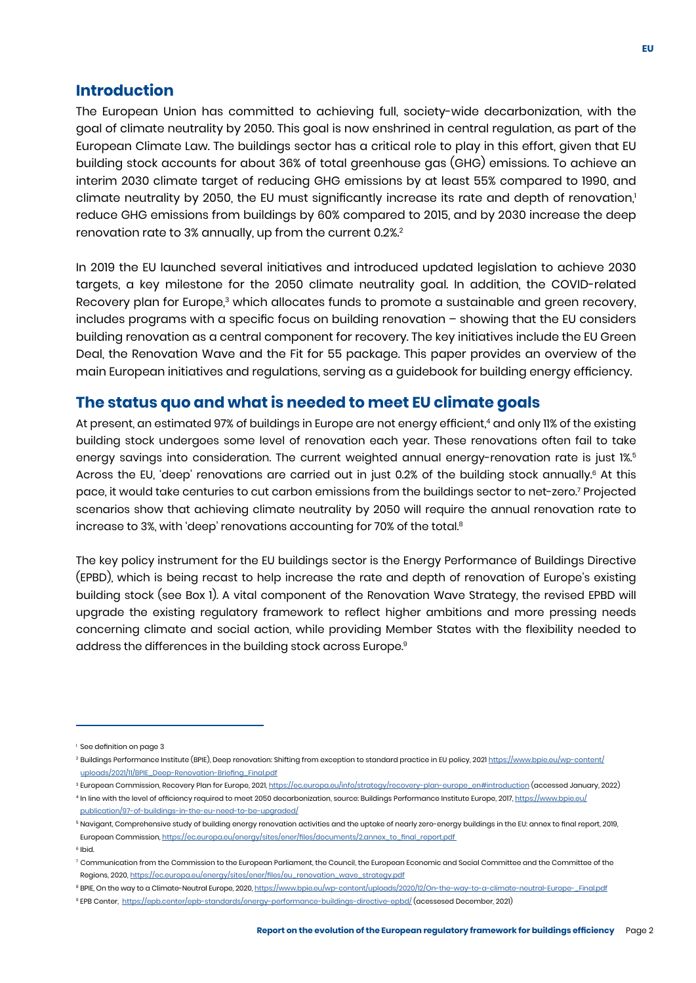#### <span id="page-2-0"></span>**Introduction**

The European Union has committed to achieving full, society-wide decarbonization, with the goal of climate neutrality by 2050. This goal is now enshrined in central regulation, as part of the European Climate Law. The buildings sector has a critical role to play in this effort, given that EU building stock accounts for about 36% of total greenhouse gas (GHG) emissions. To achieve an interim 2030 climate target of reducing GHG emissions by at least 55% compared to 1990, and climate neutrality by 2050, the EU must significantly increase its rate and depth of renovation,<sup>1</sup> reduce GHG emissions from buildings by 60% compared to 2015, and by 2030 increase the deep renovation rate to 3% annually, up from the current 0.2%.<sup>2</sup>

In 2019 the EU launched several initiatives and introduced updated legislation to achieve 2030 targets, a key milestone for the 2050 climate neutrality goal. In addition, the COVID-related Recovery plan for Europe,<sup>3</sup> which allocates funds to promote a sustainable and green recovery, includes programs with a specific focus on building renovation – showing that the EU considers building renovation as a central component for recovery. The key initiatives include the EU Green Deal, the Renovation Wave and the Fit for 55 package. This paper provides an overview of the main European initiatives and regulations, serving as a guidebook for building energy efficiency.

#### **The status quo and what is needed to meet EU climate goals**

increase to 3%, with 'deep' renovations accounting for 70% of the total. $^{\rm 8}$ At present, an estimated 97% of buildings in Europe are not energy efficient,<sup>4</sup> and only 11% of the existing building stock undergoes some level of renovation each year. These renovations often fail to take energy savings into consideration. The current weighted annual energy-renovation rate is just 1%.<sup>5</sup> Across the EU, 'deep' renovations are carried out in just 0.2% of the building stock annually.<sup>6</sup> At this pace, it would take centuries to cut carbon emissions from the buildings sector to net-zero.<sup>7</sup> Projected scenarios show that achieving climate neutrality by 2050 will require the annual renovation rate to

The key policy instrument for the EU buildings sector is the Energy Performance of Buildings Directive (EPBD), which is being recast to help increase the rate and depth of renovation of Europe's existing building stock (see Box 1). A vital component of the Renovation Wave Strategy, the revised EPBD will upgrade the existing regulatory framework to reflect higher ambitions and more pressing needs concerning climate and social action, while providing Member States with the flexibility needed to address the differences in the building stock across Europe.<sup>9</sup>

<sup>&</sup>lt;sup>1</sup> See definition on page 3

<sup>&</sup>lt;sup>2</sup> Buildings Performance Institute (BPIE), Deep renovation: Shifting from exception to standard practice in EU policy, 2021 https://www.bpie.eu/wp-content/ [uploads/2021/11/BPIE\\_Deep-Renovation-Briefing\\_Final.pdf](https://www.bpie.eu/wp-content/uploads/2021/11/BPIE_Deep-Renovation-Briefing_Final.pdf)

<sup>&</sup>lt;sup>3</sup> European Commission, Recovery Plan for Europe, 2021, [https://ec.europa.eu/info/strategy/recovery-plan-europe\\_en#introduction](https://ec.europa.eu/info/strategy/recovery-plan-europe_en#introduction) (accessed January, 2022)

<sup>4</sup> In line with the level of efficiency required to meet 2050 decarbonization, source: Buildings Performance Institute Europe, 2017, https://www.bpie.eu/ [publication/97-of-buildings-in-the-eu-need-to-be-upgraded/](https://www.bpie.eu/publication/97-of-buildings-in-the-eu-need-to-be-upgraded/)

<sup>&</sup>lt;sup>5</sup> Navigant, Comprehensive study of building energy renovation activities and the uptake of nearly zero-energy buildings in the EU: annex to final report, 2019, European Commission, [https://ec.europa.eu/energy/sites/ener/files/documents/2.annex\\_to\\_final\\_report.pdf](https://ec.europa.eu/energy/sites/ener/files/documents/2.annex_to_final_report.pdf) 

<sup>6</sup> Ibid.

<sup>7</sup> Communication from the Commission to the European Parliament, the Council, the European Economic and Social Committee and the Committee of the Regions, 2020, [https://ec.europa.eu/energy/sites/ener/files/eu\\_renovation\\_wave\\_strategy.pdf](https://ec.europa.eu/energy/sites/ener/files/eu_renovation_wave_strategy.pdf)

<sup>&</sup>lt;sup>8</sup> BPIE, On the way to a Climate-Neutral Europe, 2020, [https://www.bpie.eu/wp-content/uploads/2020/12/On-the-way-to-a-climate-neutral-Europe-\\_Final.pdf](https://ec.europa.eu/energy/sites/ener/files/eu_renovation_wave_strategy.pdf)

<sup>9</sup> EPB Center, <https://epb.center/epb-standards/energy-performance-buildings-directive-epbd/> (acessesed December, 2021)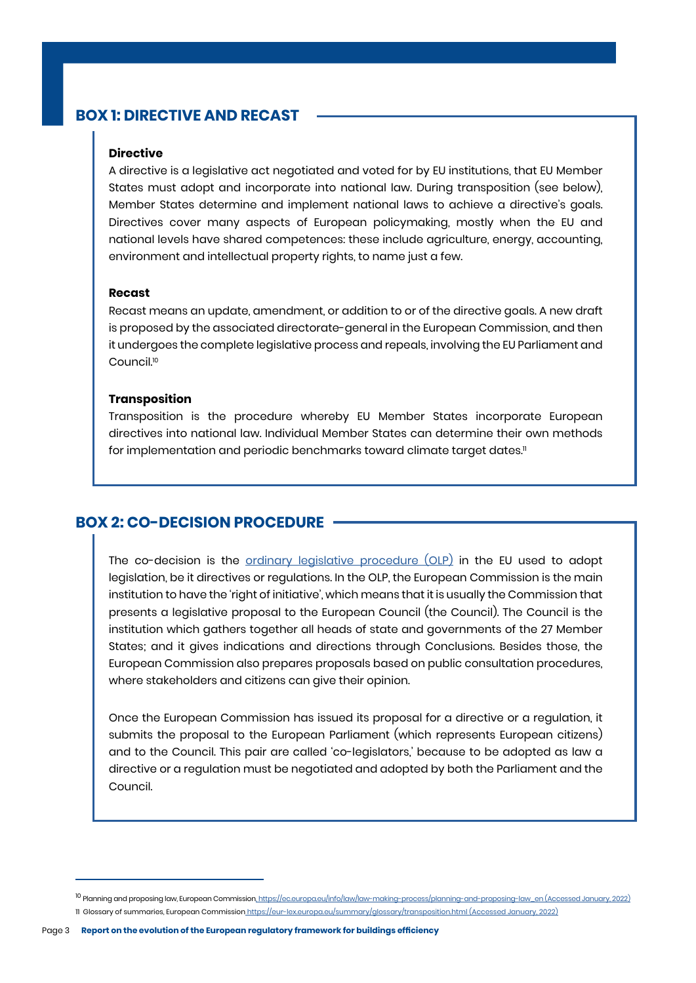# <span id="page-3-0"></span>**BOX 1: DIRECTIVE AND RECAST**

#### **Directive**

A directive is a legislative act negotiated and voted for by EU institutions, that EU Member States must adopt and incorporate into national law. During transposition (see below), Member States determine and implement national laws to achieve a directive's goals. Directives cover many aspects of European policymaking, mostly when the EU and national levels have shared competences: these include agriculture, energy, accounting, environment and intellectual property rights, to name just a few.

#### **Recast**

Recast means an update, amendment, or addition to or of the directive goals. A new draft is proposed by the associated directorate-general in the European Commission, and then it undergoes the complete legislative process and repeals, involving the EU Parliament and Council.<sup>10</sup>

#### **Transposition**

Transposition is the procedure whereby EU Member States incorporate European directives into national law. Individual Member States can determine their own methods for implementation and periodic benchmarks toward climate target dates.<sup>11</sup>

#### **BOX 2: CO-DECISION PROCEDURE**

The co-decision is the [ordinary legislative procedure \(OLP\)](https://www.consilium.europa.eu/en/council-eu/decision-making/ordinary-legislative-procedure/) in the EU used to adopt legislation, be it directives or regulations. In the OLP, the European Commission is the main institution to have the 'right of initiative', which means that it is usually the Commission that presents a legislative proposal to the European Council (the Council). The Council is the institution which gathers together all heads of state and governments of the 27 Member States; and it gives indications and directions through Conclusions. Besides those, the European Commission also prepares proposals based on public consultation procedures, where stakeholders and citizens can give their opinion.

Once the European Commission has issued its proposal for a directive or a regulation, it submits the proposal to the European Parliament (which represents European citizens) and to the Council. This pair are called 'co-legislators,' because to be adopted as law a directive or a regulation must be negotiated and adopted by both the Parliament and the Council.

<sup>&</sup>lt;sup>10</sup> Planning and proposing law, European Commission, [https://ec.europa.eu/info/law/law-making-process/planning-and-proposing-law\\_en](https://ec.europa.eu/info/law/law-making-process/planning-and-proposing-law_en) (Accessed January, 2022) 11 Glossary of summaries, European Commission<https://eur-lex.europa.eu/summary/glossary/transposition.html> (Accessed January, 2022)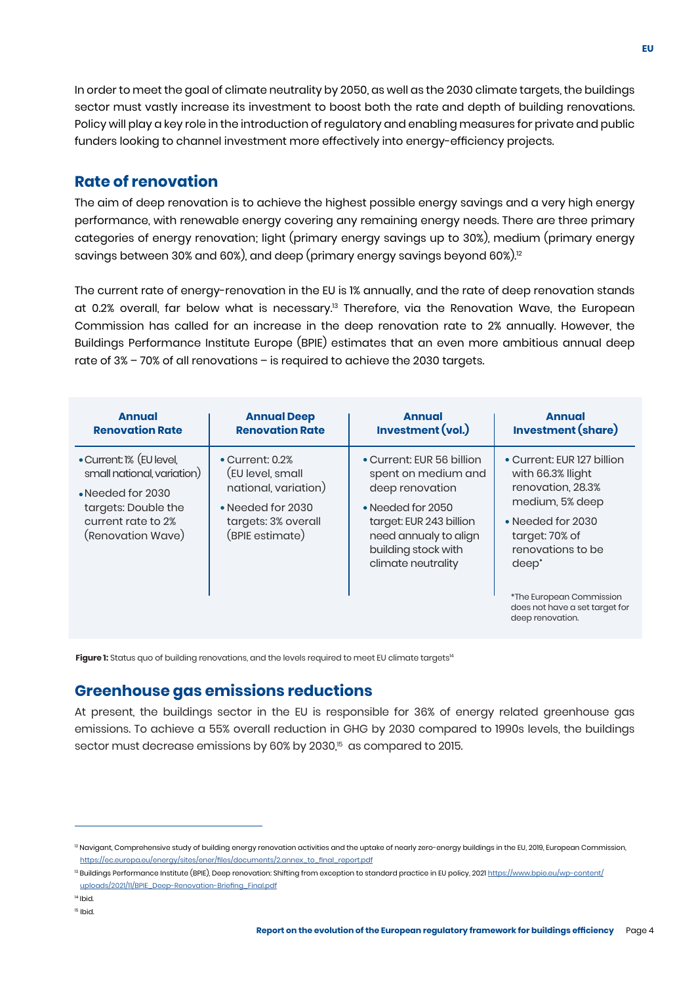<span id="page-4-0"></span>In order to meet the goal of climate neutrality by 2050, as well as the 2030 climate targets, the buildings sector must vastly increase its investment to boost both the rate and depth of building renovations. Policy will play a key role in the introduction of regulatory and enabling measures for private and public funders looking to channel investment more effectively into energy-efficiency projects.

#### **Rate of renovation**

The aim of deep renovation is to achieve the highest possible energy savings and a very high energy performance, with renewable energy covering any remaining energy needs. There are three primary categories of energy renovation; light (primary energy savings up to 30%), medium (primary energy savings between 30% and 60%), and deep (primary energy savings beyond 60%).<sup>12</sup>

The current rate of energy-renovation in the EU is 1% annually, and the rate of deep renovation stands at 0.2% overall, far below what is necessary.<sup>13</sup> Therefore, via the Renovation Wave, the European Commission has called for an increase in the deep renovation rate to 2% annually. However, the Buildings Performance Institute Europe (BPIE) estimates that an even more ambitious annual deep rate of 3% – 70% of all renovations – is required to achieve the 2030 targets.

| <b>Annual</b>                                                                                                                                 | <b>Annual Deep</b>                                                                                                                 | <b>Annual</b>                                                                                                                                                                             | <b>Annual</b>                                                                                                                                                                                                                                              |
|-----------------------------------------------------------------------------------------------------------------------------------------------|------------------------------------------------------------------------------------------------------------------------------------|-------------------------------------------------------------------------------------------------------------------------------------------------------------------------------------------|------------------------------------------------------------------------------------------------------------------------------------------------------------------------------------------------------------------------------------------------------------|
| <b>Renovation Rate</b>                                                                                                                        | <b>Renovation Rate</b>                                                                                                             | Investment (vol.)                                                                                                                                                                         | <b>Investment (share)</b>                                                                                                                                                                                                                                  |
| • Current: 1% (EU level,<br>small national, variation)<br>• Needed for 2030<br>targets: Double the<br>current rate to 2%<br>(Renovation Wave) | $\bullet$ Current: 0.2%<br>(EU level, small<br>national, variation)<br>• Needed for 2030<br>targets: 3% overall<br>(BPIE estimate) | • Current: EUR 56 billion<br>spent on medium and<br>deep renovation<br>• Needed for 2050<br>target: EUR 243 billion<br>need annualy to align<br>building stock with<br>climate neutrality | • Current: EUR 127 billion<br>with 66.3% llight<br>renovation, 28.3%<br>medium, 5% deep<br>• Needed for 2030<br>target: 70% of<br>renovations to be<br>deep <sup>*</sup><br>*The European Commission<br>does not have a set target for<br>deep renovation. |

Figure 1: Status quo of building renovations, and the levels required to meet EU climate targets<sup>14</sup>

# **Greenhouse gas emissions reductions**

At present, the buildings sector in the EU is responsible for 36% of energy related greenhouse gas emissions. To achieve a 55% overall reduction in GHG by 2030 compared to 1990s levels, the buildings sector must decrease emissions by 60% by 2030,<sup>15</sup> as compared to 2015.

<sup>&</sup>lt;sup>2</sup> Navigant, Comprehensive study of building energy renovation activities and the uptake of nearly zero-energy buildings in the EU, 2019, European Commission, [https://ec.europa.eu/energy/sites/ener/files/documents/2.annex\\_to\\_final\\_report.pdf](https://ec.europa.eu/energy/sites/ener/files/documents/2.annex_to_final_report.pdf)

<sup>&</sup>lt;sup>13</sup> Buildings Performance Institute (BPIE), Deep renovation: Shifting from exception to standard practice in EU policy, 2021 <u>https://www.bpie.eu/wp-content/</u> [uploads/2021/11/BPIE\\_Deep-Renovation-Briefing\\_Final.pdf](https://www.bpie.eu/wp-content/uploads/2021/11/BPIE_Deep-Renovation-Briefing_Final.pdf)

<sup>14</sup>Ibid.

<sup>&</sup>lt;sup>15</sup> Ibid.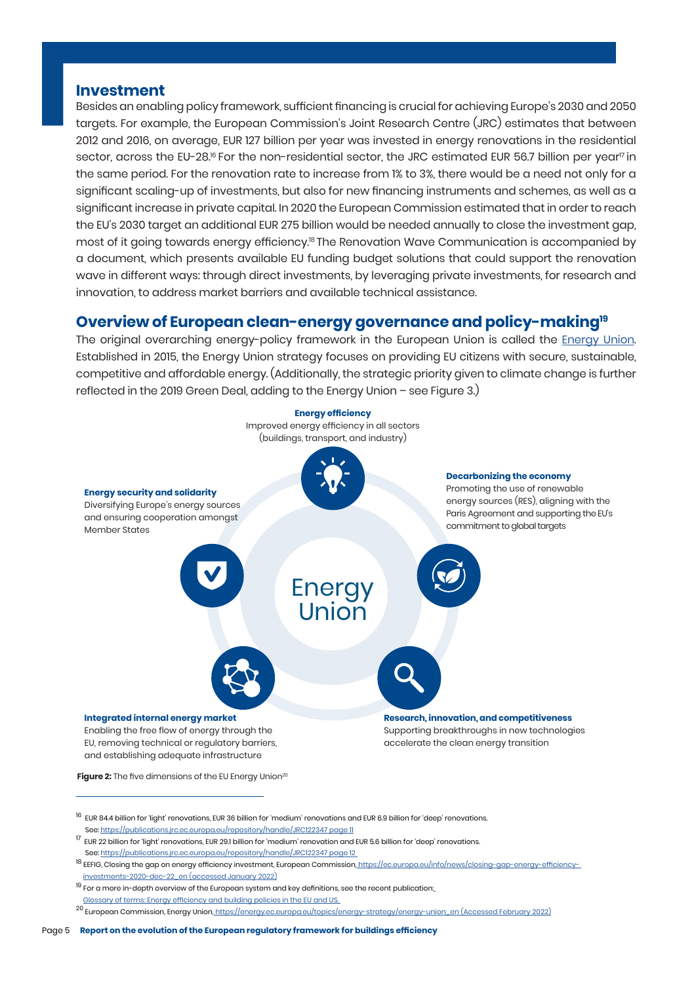#### <span id="page-5-0"></span>**Investment**

Besides an enabling policy framework, sufficient financing is crucial for achieving Europe's 2030 and 2050 targets. For example, the European Commission's Joint Research Centre (JRC) estimates that between 2012 and 2016, on average, EUR 127 billion per year was invested in energy renovations in the residential sector, across the [EU-28.](https://EU-28.16)<sup>16</sup> For the non-residential sector, the JRC estimated EUR 56.7 billion per year<sup>17</sup> in the same period. For the renovation rate to increase from 1% to 3%, there would be a need not only for a significant scaling-up of investments, but also for new financing instruments and schemes, as well as a significant increase in private capital. In 2020 the European Commission estimated that in order to reach the EU's 2030 target an additional EUR 275 billion would be needed annually to close the investment gap, most of it going towards energy [efficiency.](https://efficiency.18)<sup>18</sup> The Renovation Wave Communication is accompanied by a document, which presents available EU funding budget solutions that could support the renovation wave in different ways: through direct investments, by leveraging private investments, for research and innovation, to address market barriers and available technical assistance.

#### **Overview of European clean-energy governance and policy-making19**

The original overarching energy-policy framework in the European Union is called the [Energy Union](https://www.consilium.europa.eu/en/policies/energy-union/). Established in 2015, the Energy Union strategy focuses on providing EU citizens with secure, sustainable, competitive and affordable energy. (Additionally, the strategic priority given to climate change is further reflected in the 2019 Green Deal, adding to the Energy Union – see Figure 3.)



 $^{16}$  EUR 84.4 billion for 'light' renovations, EUR 36 billion for 'medium' renovations and EUR 6.9 billion for 'deep' renovations. See:<https://publications.jrc.ec.europa.eu/repository/handle/JRC122347> page 11

- 18<br>18 EEFIG, Closing the gap on energy efficiency investment, European Commission, <https://ec.europa.eu/info/news/closing-gap-energy-efficiency> investments-2020-dec-22\_en (accessed January 2022)
- $19$  For a more in-depth overview of the European system and key definitions, see the recent publication: Glossary of terms: Energy efficiency and building policies in the EU and US.

<sup>20</sup> European Commission, Energy Union, [https://energy.ec.europa.eu/topics/energy-strategy/energy-union\\_en](https://energy.ec.europa.eu/topics/energy-strategy/energy-union_en) (Accessed February 2022)

<sup>17</sup> EUR 22 billion for 'light' renovations, EUR 29.1 billion for 'medium' renovation and EUR 5.6 billion for 'deep' renovations. See:<https://publications.jrc.ec.europa.eu/repository/handle/JRC122347> page 12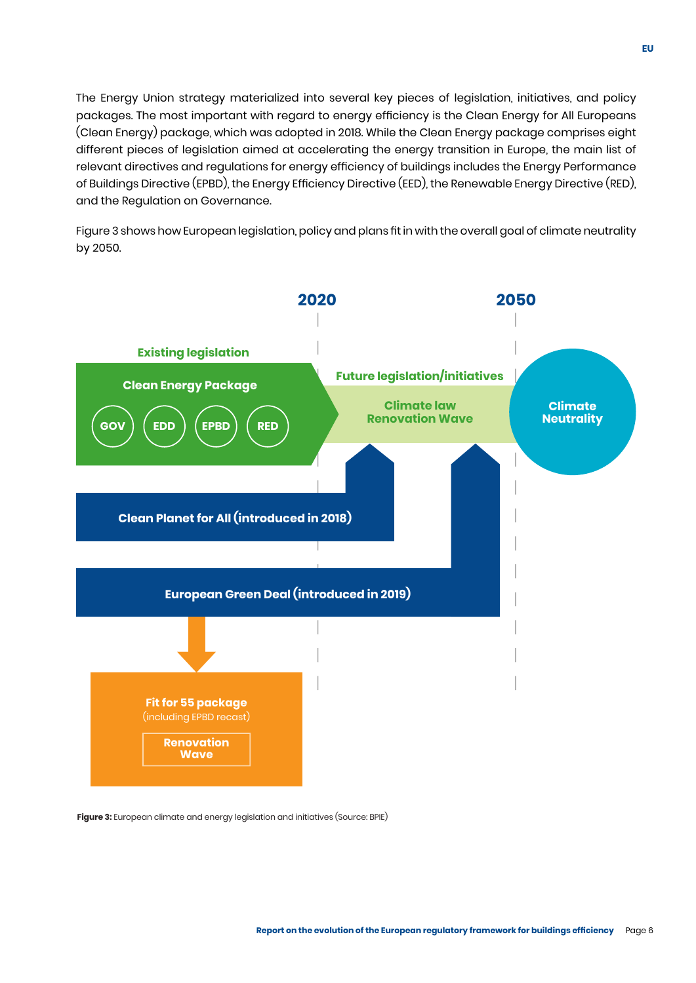The Energy Union strategy materialized into several key pieces of legislation, initiatives, and policy packages. The most important with regard to energy efficiency is the Clean Energy for All Europeans (Clean Energy) package, which was adopted in 2018. While the Clean Energy package comprises eight different pieces of legislation aimed at accelerating the energy transition in Europe, the main list of relevant directives and regulations for energy efficiency of buildings includes the Energy Performance of Buildings Directive (EPBD), the Energy Efficiency Directive (EED), the Renewable Energy Directive (RED), and the Regulation on Governance.

Figure 3 shows how European legislation, policy and plans fit in with the overall goal of climate neutrality by 2050.



**Figure 3:** European climate and energy legislation and initiatives (Source: BPIE)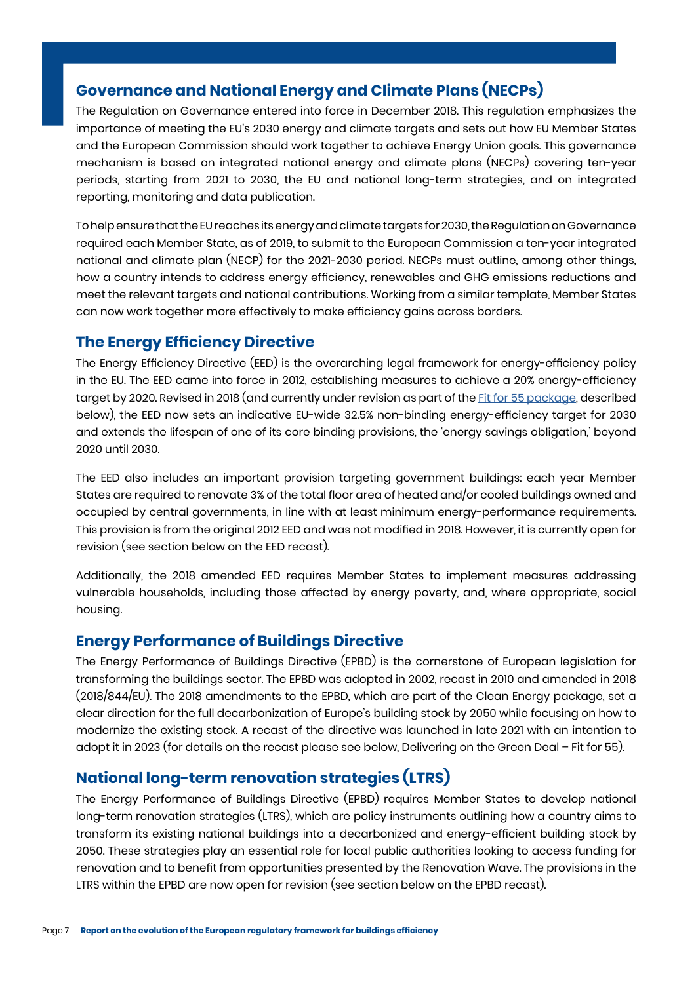# <span id="page-7-0"></span>**Governance and National Energy and Climate Plans (NECPs)**

The Regulation on Governance entered into force in December 2018. This regulation emphasizes the importance of meeting the EU's 2030 energy and climate targets and sets out how EU Member States and the European Commission should work together to achieve Energy Union goals. This governance mechanism is based on integrated national energy and climate plans (NECPs) covering ten-year periods, starting from 2021 to 2030, the EU and national long-term strategies, and on integrated reporting, monitoring and data publication.

To help ensure that the EU reaches its energy and climate targets for 2030, the Regulation on Governance required each Member State, as of 2019, to submit to the European Commission a ten-year integrated national and climate plan (NECP) for the 2021-2030 period. NECPs must outline, among other things, how a country intends to address energy efficiency, renewables and GHG emissions reductions and meet the relevant targets and national contributions. Working from a similar template, Member States can now work together more effectively to make efficiency gains across borders.

# **The Energy Efficiency Directive**

The Energy Efficiency Directive (EED) is the overarching legal framework for energy-efficiency policy in the EU. The EED came into force in 2012, establishing measures to achieve a 20% energy-efficiency target by 2020. Revised in 2018 (and currently under revision as part of the [Fit for 55 package,](https://www.consilium.europa.eu/en/policies/green-deal/eu-plan-for-a-green-transition/#:~:text=Fit%20for%2055%20refers%20to,line%20with%20the%202030%20goal.) described below), the EED now sets an indicative EU-wide 32.5% non-binding energy-efficiency target for 2030 and extends the lifespan of one of its core binding provisions, the 'energy savings obligation,' beyond 2020 until 2030.

The EED also includes an important provision targeting government buildings: each year Member States are required to renovate 3% of the total floor area of heated and/or cooled buildings owned and occupied by central governments, in line with at least minimum energy-performance requirements. This provision is from the original 2012 EED and was not modified in 2018. However, it is currently open for revision (see section below on the EED recast).

Additionally, the 2018 amended EED requires Member States to implement measures addressing vulnerable households, including those affected by energy poverty, and, where appropriate, social housing.

# **Energy Performance of Buildings Directive**

The Energy Performance of Buildings Directive (EPBD) is the cornerstone of European legislation for transforming the buildings sector. The EPBD was adopted in 2002, recast in 2010 and amended in 2018 (2018/844/EU). The 2018 amendments to the EPBD, which are part of the Clean Energy package, set a clear direction for the full decarbonization of Europe's building stock by 2050 while focusing on how to modernize the existing stock. A recast of the directive was launched in late 2021 with an intention to adopt it in 2023 (for details on the recast please see below, Delivering on the Green Deal – Fit for 55).

# **National long-term renovation strategies (LTRS)**

The Energy Performance of Buildings Directive (EPBD) requires Member States to develop national long-term renovation strategies (LTRS), which are policy instruments outlining how a country aims to transform its existing national buildings into a decarbonized and energy-efficient building stock by 2050. These strategies play an essential role for local public authorities looking to access funding for renovation and to benefit from opportunities presented by the Renovation Wave. The provisions in the LTRS within the EPBD are now open for revision (see section below on the EPBD recast).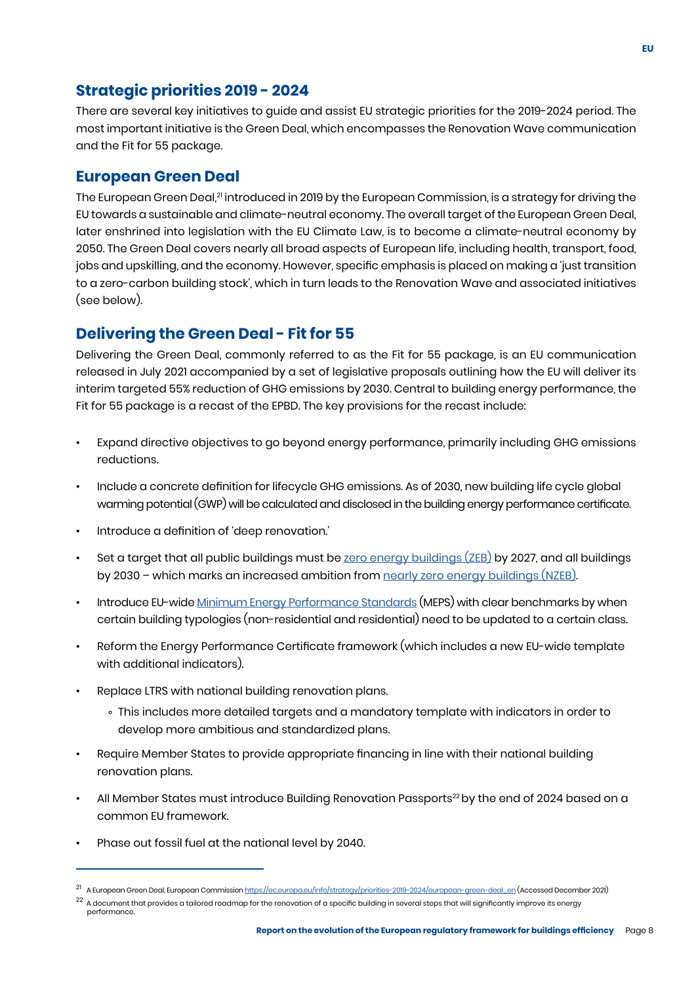# <span id="page-8-0"></span>**Strategic priorities 2019 - 2024**

There are several key initiatives to guide and assist EU strategic priorities for the 2019-2024 period. The most important initiative is the Green Deal, which encompasses the Renovation Wave communication and the Fit for 55 package.

#### **European Green Deal**

The European Green Deal,<sup>21</sup> introduced in 2019 by the European Commission, is a strategy for driving the EU towards a sustainable and climate-neutral economy. The overall target of the European Green Deal, later enshrined into legislation with the EU Climate Law, is to become a climate-neutral economy by 2050. The Green Deal covers nearly all broad aspects of European life, including health, transport, food, jobs and upskilling, and the economy. However, specific emphasis is placed on making a 'just transition to a zero-carbon building stock', which in turn leads to the Renovation Wave and associated initiatives (see below).

# **Delivering the Green Deal - Fit for 55**

Delivering the Green Deal, commonly referred to as the Fit for 55 package, is an EU communication released in July 2021 accompanied by a set of legislative proposals outlining how the EU will deliver its interim targeted 55% reduction of GHG emissions by 2030. Central to building energy performance, the Fit for 55 package is a recast of the EPBD. The key provisions for the recast include:

- Expand directive objectives to go beyond energy performance, primarily including GHG emissions reductions.
- Include a concrete definition for lifecycle GHG emissions. As of 2030, new building life cycle global warming potential (GWP) will be calculated and disclosed in the building energy performance certificate.
- Introduce a definition of 'deep renovation.'
- Set a target that all public buildings must be [zero energy buildings \(ZEB\)](https://www.bpie.eu/wp-content/uploads/2021/09/Glossary-of-terms%E2%80%93Energy-efficiency-and-building-policies-in-the-EU_rev3.pdf) by 2027, and all buildings by 2030 – which marks an increased ambition from [nearly zero energy buildings \(NZEB\)](https://www.bpie.eu/wp-content/uploads/2021/09/Glossary-of-terms%E2%80%93Energy-efficiency-and-building-policies-in-the-EU_rev3.pdf).
- Introduce EU-wide [Minimum Energy Performance Standards](https://www.bpie.eu/wp-content/uploads/2021/09/Glossary-of-terms%E2%80%93Energy-efficiency-and-building-policies-in-the-EU_rev3.pdf) (MEPS) with clear benchmarks by when certain building typologies (non-residential and residential) need to be updated to a certain class.
- Reform the Energy Performance Certificate framework (which includes a new EU-wide template with additional indicators).
- Replace LTRS with national building renovation plans.
	- This includes more detailed targets and a mandatory template with indicators in order to develop more ambitious and standardized plans.
- Require Member States to provide appropriate financing in line with their national building renovation plans.
- All Member States must introduce Building Renovation Passports<sup>22</sup> by the end of 2024 based on a common EU framework.
- Phase out fossil fuel at the national level by 2040.

 $^{21}~$  A European Green Deal, European Commission <u>[https://ec.europa.eu/info/strategy/priorities-2019-2024/european-green-deal\\_en](https://ec.europa.eu/info/strategy/priorities-2019-2024/european-green-deal_en)</u> (Accessed December 2021)

 $^{22}$  A document that provides a tailored roadmap for the renovation of a specific building in several steps that will significantly improve its energy performance.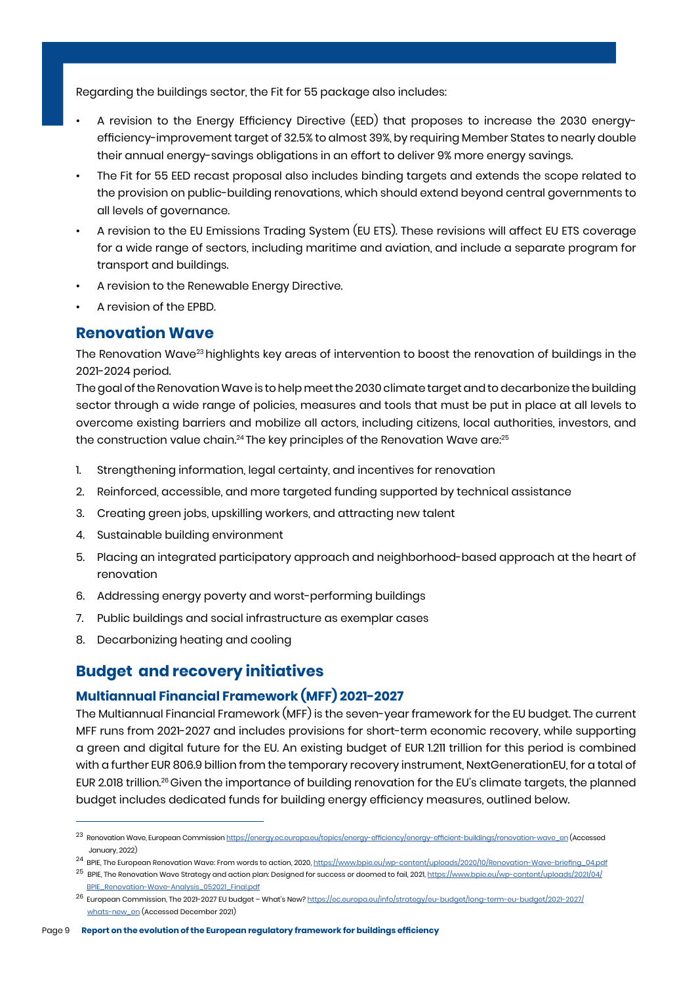<span id="page-9-0"></span>Regarding the buildings sector, the Fit for 55 package also includes:

- A revision to the Energy Efficiency Directive (EED) that proposes to increase the 2030 energyefficiency-improvement target of 32.5% to almost 39%, by requiring Member States to nearly double their annual energy-savings obligations in an effort to deliver 9% more energy savings.
- The Fit for 55 EED recast proposal also includes binding targets and extends the scope related to the provision on public-building renovations, which should extend beyond central governments to all levels of governance.
- A revision to the EU Emissions Trading System (EU ETS). These revisions will affect EU ETS coverage for a wide range of sectors, including maritime and aviation, and include a separate program for transport and buildings.
- A revision to the Renewable Energy Directive.
- A revision of the EPBD.

#### **Renovation Wave**

The Renovation Wave23 highlights key areas of intervention to boost the renovation of buildings in the 2021-2024 period.

The goal of the Renovation Wave is to help meet the 2030 climate target and to decarbonize the building sector through a wide range of policies, measures and tools that must be put in place at all levels to overcome existing barriers and mobilize all actors, including citizens, local authorities, investors, and the construction value chain.<sup>24</sup> The key principles of the Renovation Wave are:<sup>25</sup>

- 1. Strengthening information, legal certainty, and incentives for renovation
- 2. Reinforced, accessible, and more targeted funding supported by technical assistance
- 3. Creating green jobs, upskilling workers, and attracting new talent
- 4. Sustainable building environment
- 5. Placing an integrated participatory approach and neighborhood-based approach at the heart of renovation
- 6. Addressing energy poverty and worst-performing buildings
- 7. Public buildings and social infrastructure as exemplar cases
- 8. Decarbonizing heating and cooling

# **Budget and recovery initiatives**

#### **Multiannual Financial Framework (MFF) 2021-2027**

The Multiannual Financial Framework (MFF) is the seven-year framework for the EU budget. The current MFF runs from 2021-2027 and includes provisions for short-term economic recovery, while supporting a green and digital future for the EU. An existing budget of EUR 1.211 trillion for this period is combined with a further EUR 806.9 billion from the temporary recovery instrument, NextGenerationEU, for a total of EUR 2.018 [trillion.](https://trillion.26)<sup>26</sup> Given the importance of building renovation for the EU's climate targets, the planned budget includes dedicated funds for building energy efficiency measures, outlined below.

24 BPIE, The European Renovation Wave: From words to action, 2020, [https://www.bpie.eu/wp-content/uploads/2020/10/Renovation-Wave-briefing\\_04.pdf](https://www.bpie.eu/wp-content/uploads/2020/10/Renovation-Wave-briefing_04.pdf)

<sup>23</sup> Renovation Wave, European Commission [https://energy.ec.europa.eu/topics/energy-efficiency/energy-efficient-buildings/renovation-wave\\_en](https://energy.ec.europa.eu/topics/energy-efficiency/energy-efficient-buildings/renovation-wave_en) (Accessed January, 2022)

<sup>&</sup>lt;sup>25</sup> BPIE, The Renovation Wave Strategy and action plan: Designed for success or doomed to fail, 2021, [https://www.bpie.eu/wp-content/uploads/2021/04/](https://www.bpie.eu/wp-content/uploads/2021/04/	      BPIE_Renovation-Wave-Analysis_052021_Final.pdf) [BPIE\\_Renovation-Wave-Analysis\\_052021\\_Final.pdf](https://www.bpie.eu/wp-content/uploads/2021/04/	      BPIE_Renovation-Wave-Analysis_052021_Final.pdf)

<sup>&</sup>lt;sup>26</sup> European Commission, The 2021-2027 EU budget – What's New? [https://ec.europa.eu/info/strategy/eu-budget/long-term-eu-budget/2021-2027/](https://ec.europa.eu/info/strategy/eu-budget/long-term-eu-budget/2021-2027/whats-new_en) [whats-new\\_en](https://ec.europa.eu/info/strategy/eu-budget/long-term-eu-budget/2021-2027/whats-new_en) (Accessed December 2021)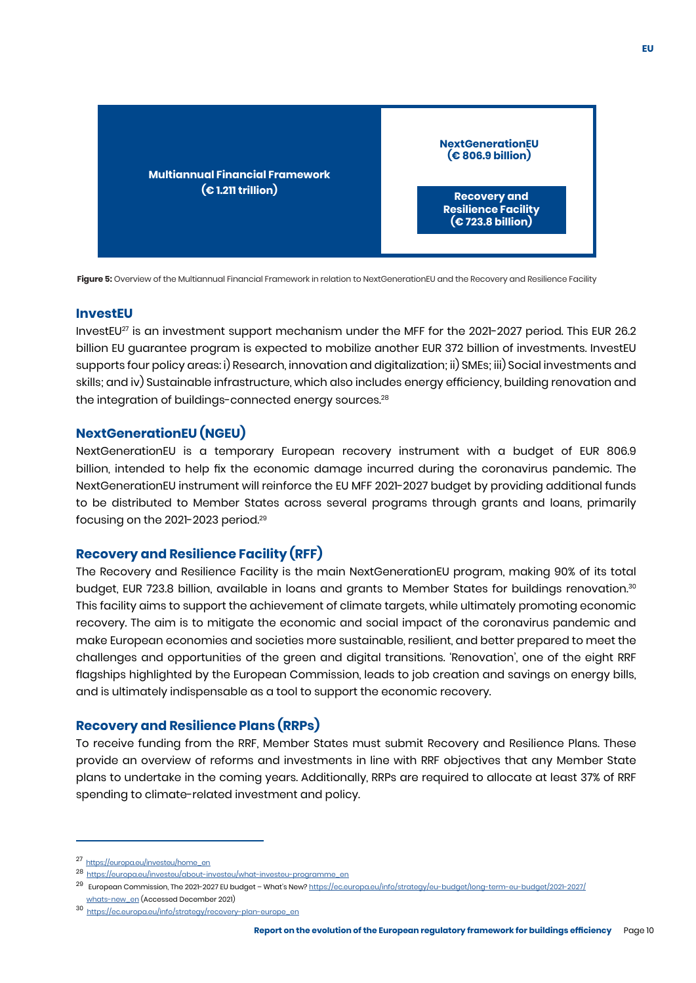<span id="page-10-0"></span>

**Figure 5:** Overview of the Multiannual Financial Framework in relation to NextGenerationEU and the Recovery and Resilience Facility

#### **InvestEU**

the integration of buildings-connected energy [sources.](https://sources.28) $^{\rm 28}$ InvestEU27 is an investment support mechanism under the MFF for the 2021-2027 period. This EUR 26.2 billion EU guarantee program is expected to mobilize another EUR 372 billion of investments. InvestEU supports four policy areas: i) Research, innovation and digitalization; ii) SMEs; iii) Social investments and skills; and iv) Sustainable infrastructure, which also includes energy efficiency, building renovation and

#### **NextGenerationEU (NGEU)**

NextGenerationEU is a temporary European recovery instrument with a budget of EUR 806.9 billion, intended to help fix the economic damage incurred during the coronavirus pandemic. The NextGenerationEU instrument will reinforce the EU MFF 2021-2027 budget by providing additional funds to be distributed to Member States across several programs through grants and loans, primarily focusing on the 2021-2023 [period.29](https://period.29)

#### **Recovery and Resilience Facility (RFF)**

The Recovery and Resilience Facility is the main NextGenerationEU program, making 90% of its total budget, EUR 723.8 billion, available in loans and grants to Member States for buildings renovation.<sup>30</sup> This facility aims to support the achievement of climate targets, while ultimately promoting economic recovery. The aim is to mitigate the economic and social impact of the coronavirus pandemic and make European economies and societies more sustainable, resilient, and better prepared to meet the challenges and opportunities of the green and digital transitions. 'Renovation', one of the eight RRF flagships highlighted by the European Commission, leads to job creation and savings on energy bills, and is ultimately indispensable as a tool to support the economic recovery.

#### **Recovery and Resilience Plans (RRPs)**

To receive funding from the RRF, Member States must submit Recovery and Resilience Plans. These provide an overview of reforms and investments in line with RRF objectives that any Member State plans to undertake in the coming years. Additionally, RRPs are required to allocate at least 37% of RRF spending to climate-related investment and policy.

<sup>27</sup> [https://europa.eu/investeu/home\\_en](https://europa.eu/investeu/home_en)

<sup>28</sup> [https://europa.eu/investeu/about-investeu/what-investeu-programme\\_en](https://europa.eu/investeu/about-investeu/what-investeu-programme_en)

<sup>29</sup> European Commission, The 2021-2027 EU budget – What's New? [https://ec.europa.eu/info/strategy/eu-budget/long-term-eu-budget/2021-2027/](https://ec.europa.eu/info/strategy/eu-budget/long-term-eu-budget/2021-2027/whats-new_en ) [whats-new\\_en](https://ec.europa.eu/info/strategy/eu-budget/long-term-eu-budget/2021-2027/whats-new_en ) (Accessed December 2021)

<sup>30</sup> [https://ec.europa.eu/info/strategy/recovery-plan-europe\\_en](https://ec.europa.eu/info/strategy/recovery-plan-europe_en)